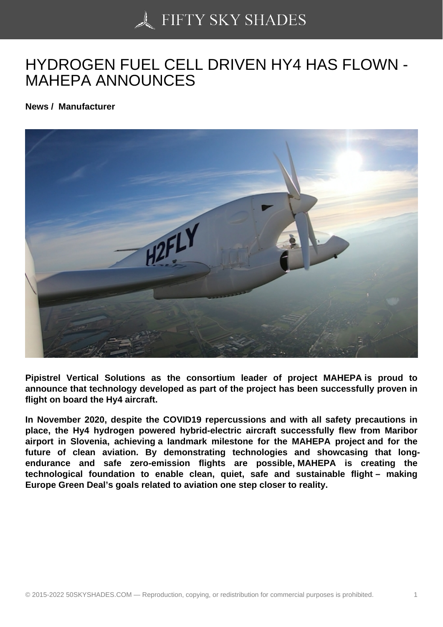## [HYDROGEN FUEL CE](https://50skyshades.com)LL DRIVEN HY4 HAS FLOWN - MAHEPA ANNOUNCES

News / Manufacturer

Pipistrel Vertical Solutions as the consortium leader of project MAHEPA is proud to announce that technology developed as part of the project has been successfully proven in flight on board the Hy4 aircraft.

In November 2020, despite the COVID19 repercussions and with all safety precautions in place, the Hy4 hydrogen powered hybrid-electric aircraft successfully flew from Maribor airport in Slovenia, achieving a landmark milestone for the MAHEPA project and for the future of clean aviation. By demonstrating technologies and showcasing that longendurance and safe zero-emission flights are possible, MAHEPA is creating the technological foundation to enable clean, quiet, safe and sustainable flight – making Europe Green Deal's goals related to aviation one step closer to reality.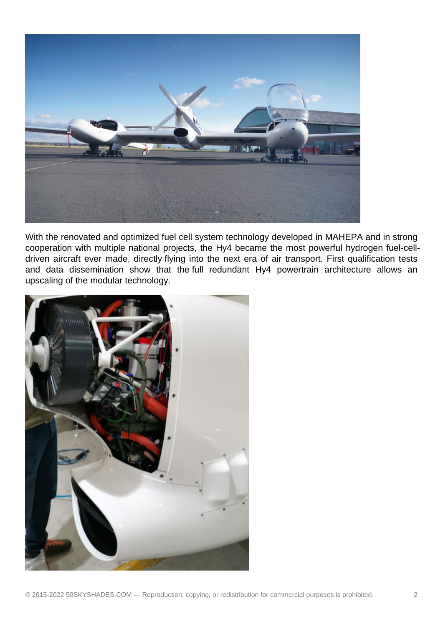

With the renovated and optimized fuel cell system technology developed in MAHEPA and in strong cooperation with multiple national projects, the Hy4 became the most powerful hydrogen fuel-celldriven aircraft ever made, directly flying into the next era of air transport. First qualification tests and data dissemination show that the full redundant Hy4 powertrain architecture allows an upscaling of the modular technology.